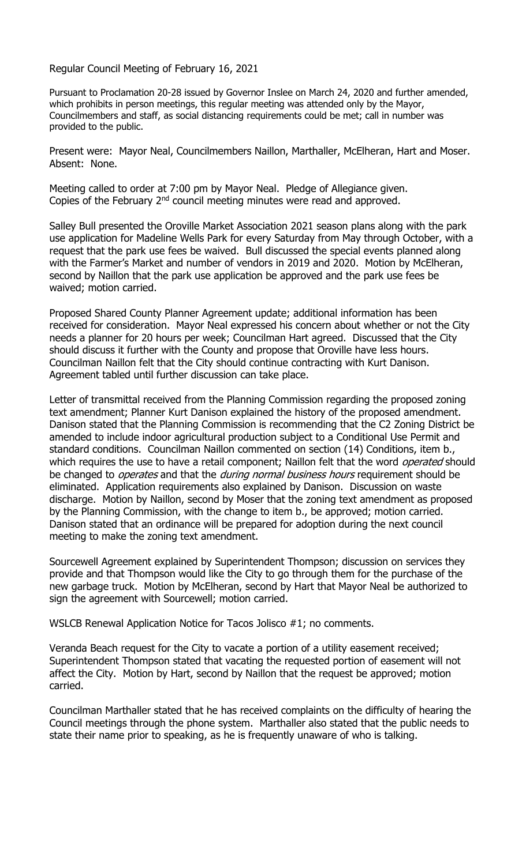Regular Council Meeting of February 16, 2021

Pursuant to Proclamation 20-28 issued by Governor Inslee on March 24, 2020 and further amended, which prohibits in person meetings, this regular meeting was attended only by the Mayor, Councilmembers and staff, as social distancing requirements could be met; call in number was provided to the public.

Present were: Mayor Neal, Councilmembers Naillon, Marthaller, McElheran, Hart and Moser. Absent: None.

Meeting called to order at 7:00 pm by Mayor Neal. Pledge of Allegiance given. Copies of the February  $2<sup>nd</sup>$  council meeting minutes were read and approved.

Salley Bull presented the Oroville Market Association 2021 season plans along with the park use application for Madeline Wells Park for every Saturday from May through October, with a request that the park use fees be waived. Bull discussed the special events planned along with the Farmer's Market and number of vendors in 2019 and 2020. Motion by McElheran, second by Naillon that the park use application be approved and the park use fees be waived; motion carried.

Proposed Shared County Planner Agreement update; additional information has been received for consideration. Mayor Neal expressed his concern about whether or not the City needs a planner for 20 hours per week; Councilman Hart agreed. Discussed that the City should discuss it further with the County and propose that Oroville have less hours. Councilman Naillon felt that the City should continue contracting with Kurt Danison. Agreement tabled until further discussion can take place.

Letter of transmittal received from the Planning Commission regarding the proposed zoning text amendment; Planner Kurt Danison explained the history of the proposed amendment. Danison stated that the Planning Commission is recommending that the C2 Zoning District be amended to include indoor agricultural production subject to a Conditional Use Permit and standard conditions. Councilman Naillon commented on section (14) Conditions, item b., which requires the use to have a retail component; Naillon felt that the word *operated* should be changed to *operates* and that the *during normal business hours* requirement should be eliminated. Application requirements also explained by Danison. Discussion on waste discharge. Motion by Naillon, second by Moser that the zoning text amendment as proposed by the Planning Commission, with the change to item b., be approved; motion carried. Danison stated that an ordinance will be prepared for adoption during the next council meeting to make the zoning text amendment.

Sourcewell Agreement explained by Superintendent Thompson; discussion on services they provide and that Thompson would like the City to go through them for the purchase of the new garbage truck. Motion by McElheran, second by Hart that Mayor Neal be authorized to sign the agreement with Sourcewell; motion carried.

WSLCB Renewal Application Notice for Tacos Jolisco #1; no comments.

Veranda Beach request for the City to vacate a portion of a utility easement received; Superintendent Thompson stated that vacating the requested portion of easement will not affect the City. Motion by Hart, second by Naillon that the request be approved; motion carried.

Councilman Marthaller stated that he has received complaints on the difficulty of hearing the Council meetings through the phone system. Marthaller also stated that the public needs to state their name prior to speaking, as he is frequently unaware of who is talking.